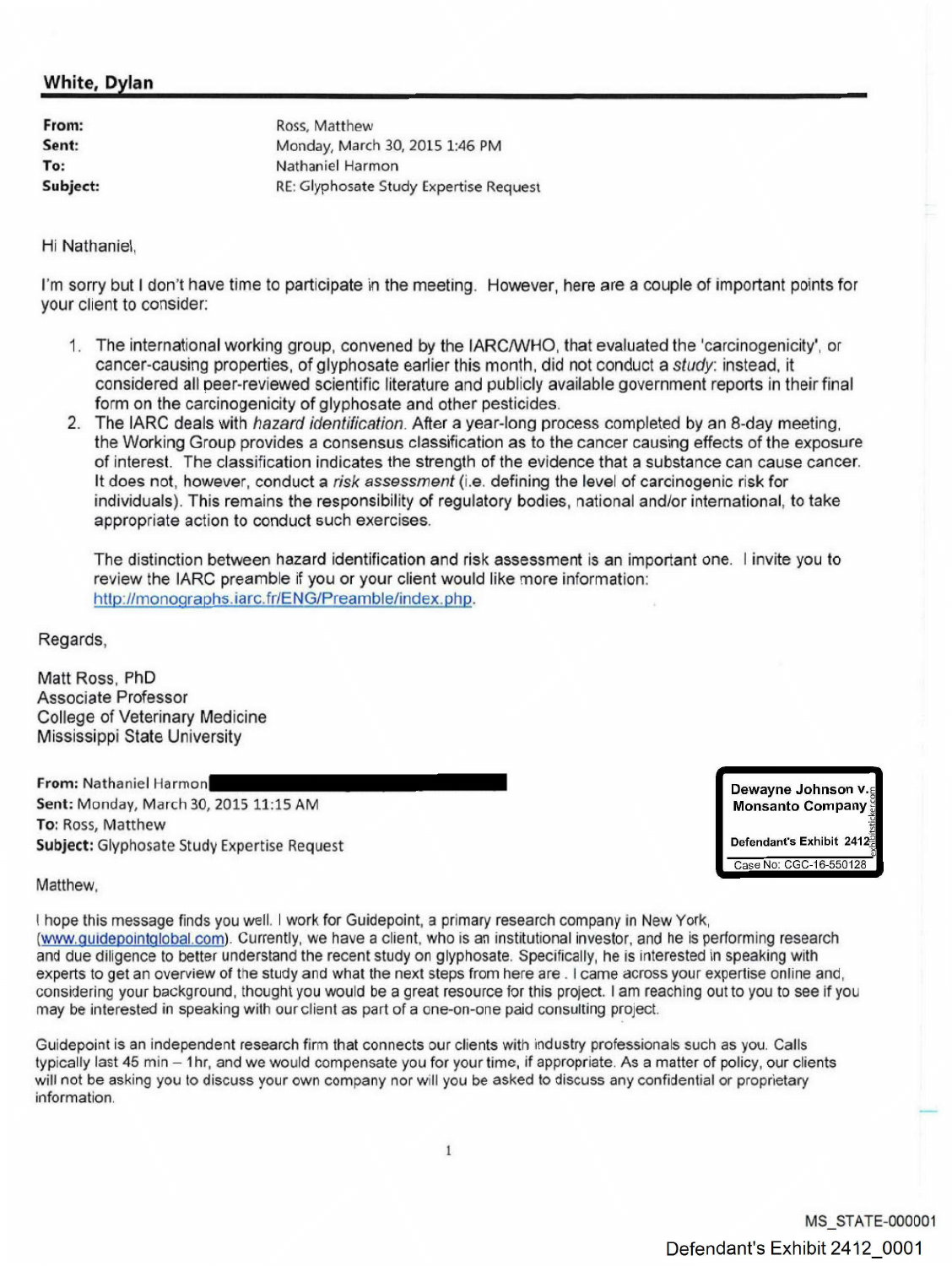## **White, Dylan**

| From:    | Ross, Matthew                          |
|----------|----------------------------------------|
| Sent:    | Monday, March 30, 2015 1:46 PM         |
| To:      | Nathaniel Harmon                       |
| Subject: | RE: Glyphosate Study Expertise Request |

## Hi Nathaniel.

I'm sorry but <sup>I</sup> don't have time to participate in the meeting. However, here are a couple of important points for your client to consider:

- 1. The international working group, convened by the IARC/WHO, that evaluated the 'carcinogenicity', or cancer-causing properties, of glyphosate earlier this month, did not conduct a study: instead, it considered all peer-reviewed scientific literature and publicly available government reports in their final form on the [carcinogenicity](https://www.baumhedlundlaw.com/toxic-tort-law/monsanto-roundup-lawsuit/) of glyphosate and other pesticides.
- 2. The IARC deals with hazard identification. After a year-long process completed by an 8-day meeting, the Working Group provides a consensus classification as to the cancer causing effects of the exposure of interest. The classification indicates the strength of the evidence that a substance can cause cancer. It does not, however, conduct a risk assessment (i.e. defining the level of carcinogenic risk for individuals). This remains the responsibility of regulatory bodies, national andlor intemational, to take appropriate action to conduct such exercises.

The distinction between hazard identification and risk assessment is an important one. I invite you to review the IARC preamble if you or your client would like more information: http://monographs.iarc.fr/ENG/Preamble/index.php.

Regards,

Matt Ross, PhD Associate Professor College of Veterinary Medicine Mississippi State University

**From: Nathaniel Harmon**<br>**From: Nathaniel Harmon**<br>Sent: Monday, March 30, 2015, 11:15, AM Sent: Monday, March 30, 2015 11:15 AM To: Ross, Matthew Subject; Glyphosate Study Expertise Request

**Dewayne Johnson** v.~ **Monsanto** Company Defendant's Exhibit 2412 Case No: CGC-16-550128

Matthew,

I hope this message finds you well. I work for Guidepoint, a primary research company in New York, (www.guidepointqlobal.com). Currently, we have a client, who is an institutional investor, and he is performing research and due diligence to better understand the recent study on glyphosate. Specifically, he is interested in speaking with experts to get an overview of the study and what the next steps from here are. I came across your expertise online and, considering your background, thought you would be a great resource for this project. I am reaching out to you to see if you may be interested in speaking with our client as part of a one-on-one paid consulting project.

Guidepoint is an independent research firm that connects our clients with industry professionals such as you. Calls typically last 45 min - 1hr, and we would compensate you for your time, if appropriate. As a matter of policy, our clients will not be asking you to discuss your own company nor will you be asked to discuss any confidential or proprietary information.